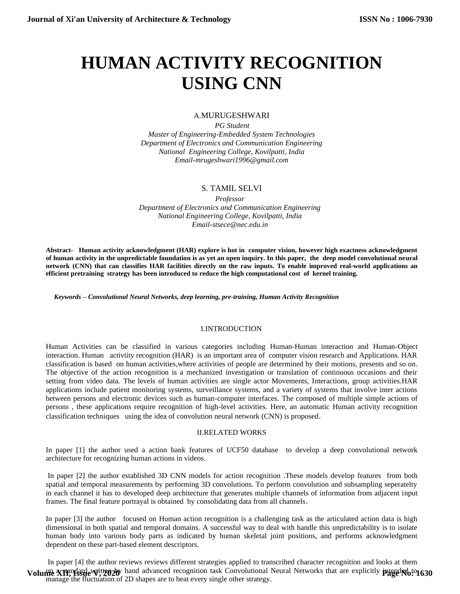# **HUMAN ACTIVITY RECOGNITION USING CNN**

# A.MURUGESHWARI

*PG Student Master of Engineering-Embedded System Technologies Department of Electronics and Communication Engineering National Engineering College, Kovilpatti, India Email-mrugeshwari1996@gmail.com*

# S. TAMIL SELVI

*Professor Department of Electronics and Communication Engineering National Engineering College, Kovilpatti, India Email[-stsece@nec.edu.in](mailto:stsece@nec.edu.in)*

**Abstract- Human activity acknowledgment (HAR) explore is hot in computer vision, however high exactness acknowledgment of human activity in the unpredictable foundation is as yet an open inquiry. In this paper, the deep model convolutional neural network (CNN) that can classifies HAR facilities directly on the raw inputs. To enable improved real-world applications an efficient pretraining strategy has been introduced to reduce the high computational cost of kernel training.**

*Keywords – Convolutional Neural Networks, deep learning, pre-training, Human Activity Recognition*

## I.INTRODUCTION

Human Activities can be classified in various categories including Human-Human interaction and Human-Object interaction. Human activtity recognition (HAR) is an important area of computer vision research and Applications. HAR classification is based on human activities,where activities of people are determined by their motions, presents and so on. The objective of the action recognition is a mechanized investigation or translation of continuous occasions and their setting from video data. The levels of human activities are single actor Movements, Interactions, group activities.HAR applications include patient monitoring systems, surveillance systems, and a variety of systems that involve inter actions between persons and electronic devices such as human-computer interfaces. The composed of multiple simple actions of persons , these applications require recognition of high-level activities. Here, an automatic Human activity recognition classification techniques using the idea of convolution neural network (CNN) is proposed.

# II.RELATED WORKS

In paper [1] the author used a action bank features of UCF50 database to develop a deep convolutional network architecture for recognizing human actions in videos.

In paper [2] the author established 3D CNN models for action recognition .These models develop features from both spatial and temporal measurements by performing 3D convolutions. To perform convolution and subsampling seperatelty in each channel it has to developed deep architecture that generates multiple channels of information from adjacent input frames. The final feature portrayal is obtained by consolidating data from all channels.

In paper [3] the author focused on Human action recognition is a challenging task as the articulated action data is high dimensional in both spatial and temporal domains. A successful way to deal with handle this unpredictability is to isolate human body into various body parts as indicated by human skeletal joint positions, and performs acknowledgment dependent on these part-based element descriptors.

In paper [4] the author reviews reviews different strategies applied to transcribed character recognition and looks at them Volume XII, Issue Witten 20<sup>y</sup> hand advanced recognition task Convolutional Neural Networks that are explicitly **page No: 1630** manage the fluctuation of 2D shapes are to beat every single other strategy.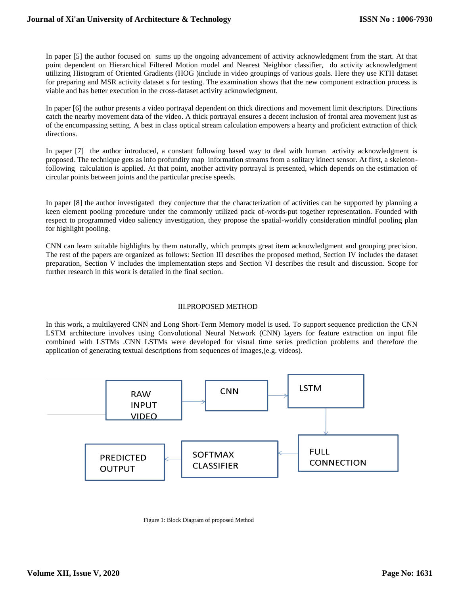In paper [5] the author focused on sums up the ongoing advancement of activity acknowledgment from the start. At that point dependent on Hierarchical Filtered Motion model and Nearest Neighbor classifier, do activity acknowledgment utilizing Histogram of Oriented Gradients (HOG )include in video groupings of various goals. Here they use KTH dataset for preparing and MSR activity dataset s for testing. The examination shows that the new component extraction process is viable and has better execution in the cross-dataset activity acknowledgment.

In paper [6] the author presents a video portrayal dependent on thick directions and movement limit descriptors. Directions catch the nearby movement data of the video. A thick portrayal ensures a decent inclusion of frontal area movement just as of the encompassing setting. A best in class optical stream calculation empowers a hearty and proficient extraction of thick directions.

In paper [7] the author introduced, a constant following based way to deal with human activity acknowledgment is proposed. The technique gets as info profundity map information streams from a solitary kinect sensor. At first, a skeletonfollowing calculation is applied. At that point, another activity portrayal is presented, which depends on the estimation of circular points between joints and the particular precise speeds.

In paper [8] the author investigated they conjecture that the characterization of activities can be supported by planning a keen element pooling procedure under the commonly utilized pack of-words-put together representation. Founded with respect to programmed video saliency investigation, they propose the spatial-worldly consideration mindful pooling plan for highlight pooling.

CNN can learn suitable highlights by them naturally, which prompts great item acknowledgment and grouping precision. The rest of the papers are organized as follows: Section III describes the proposed method, Section IV includes the dataset preparation, Section V includes the implementation steps and Section VI describes the result and discussion. Scope for further research in this work is detailed in the final section.

## III.PROPOSED METHOD

In this work, a multilayered CNN and Long Short-Term Memory model is used. To support sequence prediction the CNN LSTM architecture involves using Convolutional Neural Network (CNN) layers for feature extraction on input file combined with LSTMs .CNN LSTMs were developed for visual time series prediction problems and therefore the application of generating textual descriptions from sequences of images,(e.g. videos).



Figure 1: Block Diagram of proposed Method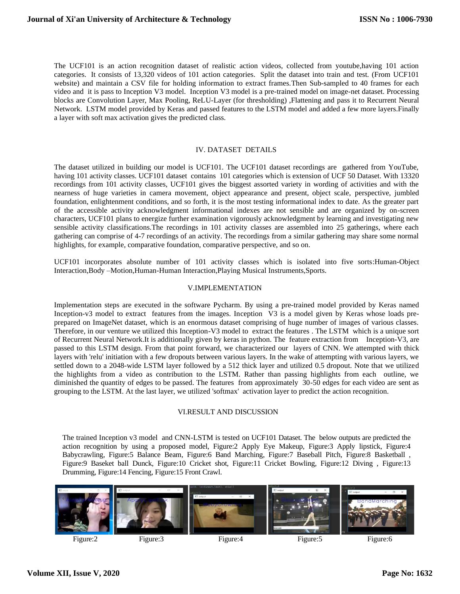The UCF101 is an action recognition dataset of realistic action videos, collected from youtube,having 101 action categories. It consists of 13,320 videos of 101 action categories. Split the dataset into train and test. (From UCF101 website) and maintain a CSV file for holding information to extract frames.Then Sub-sampled to 40 frames for each video and it is pass to Inception V3 model. Inception V3 model is a pre-trained model on image-net dataset. Processing blocks are Convolution Layer, Max Pooling, ReLU-Layer (for thresholding) ,Flattening and pass it to Recurrent Neural Network. LSTM model provided by Keras and passed features to the LSTM model and added a few more layers.Finally a layer with soft max activation gives the predicted class.

# IV. DATASET DETAILS

The dataset utilized in building our model is UCF101. The UCF101 dataset recordings are gathered from YouTube, having 101 activity classes. UCF101 dataset contains 101 categories which is extension of UCF 50 Dataset. With 13320 recordings from 101 activity classes, UCF101 gives the biggest assorted variety in wording of activities and with the nearness of huge varieties in camera movement, object appearance and present, object scale, perspective, jumbled foundation, enlightenment conditions, and so forth, it is the most testing informational index to date. As the greater part of the accessible activity acknowledgment informational indexes are not sensible and are organized by on-screen characters, UCF101 plans to energize further examination vigorously acknowledgment by learning and investigating new sensible activity classifications.The recordings in 101 activity classes are assembled into 25 gatherings, where each gathering can comprise of 4-7 recordings of an activity. The recordings from a similar gathering may share some normal highlights, for example, comparative foundation, comparative perspective, and so on.

UCF101 incorporates absolute number of 101 activity classes which is isolated into five sorts:Human-Object Interaction,Body –Motion,Human-Human Interaction,Playing Musical Instruments,Sports.

## V.IMPLEMENTATION

Implementation steps are executed in the software Pycharm. By using a pre-trained model provided by Keras named Inception-v3 model to extract features from the images. Inception V3 is a model given by Keras whose loads preprepared on ImageNet dataset, which is an enormous dataset comprising of huge number of images of various classes. Therefore, in our venture we utilized this Inception-V3 model to extract the features . The LSTM which is a unique sort of Recurrent Neural Network.It is additionally given by keras in python. The feature extraction from Inception-V3, are passed to this LSTM design. From that point forward, we characterized our layers of CNN. We attempted with thick layers with 'relu' initiation with a few dropouts between various layers. In the wake of attempting with various layers, we settled down to a 2048-wide LSTM layer followed by a 512 thick layer and utilized 0.5 dropout. Note that we utilized the highlights from a video as contribution to the LSTM. Rather than passing highlights from each outline, we diminished the quantity of edges to be passed. The features from approximately 30-50 edges for each video are sent as grouping to the LSTM. At the last layer, we utilized 'softmax' activation layer to predict the action recognition.

#### VI.RESULT AND DISCUSSION

The trained Inception v3 model and CNN-LSTM is tested on UCF101 Dataset. The below outputs are predicted the action recognition by using a proposed model, Figure:2 Apply Eye Makeup, Figure:3 Apply lipstick, Figure:4 Babycrawling, Figure:5 Balance Beam, Figure:6 Band Marching, Figure:7 Baseball Pitch, Figure:8 Basketball , Figure:9 Baseket ball Dunck, Figure:10 Cricket shot, Figure:11 Cricket Bowling, Figure:12 Diving , Figure:13 Drumming, Figure:14 Fencing, Figure:15 Front Crawl.

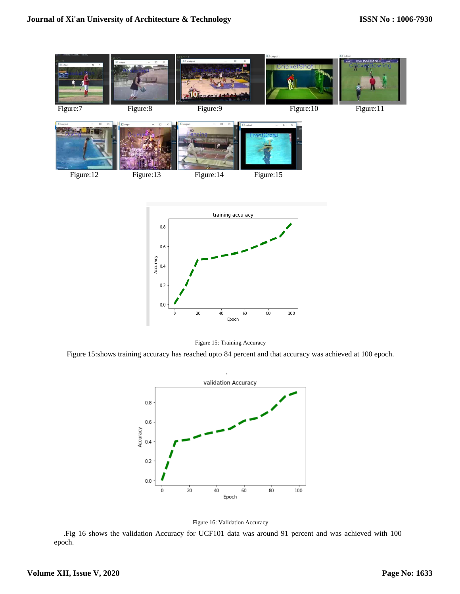



60 Epoch

 $40$ 

 $100^{\circ}$ 

 $80$ 

 $\frac{1}{20}$ 

Figure 15:shows training accuracy has reached upto 84 percent and that accuracy was achieved at 100 epoch.





 .Fig 16 shows the validation Accuracy for UCF101 data was around 91 percent and was achieved with 100 epoch.